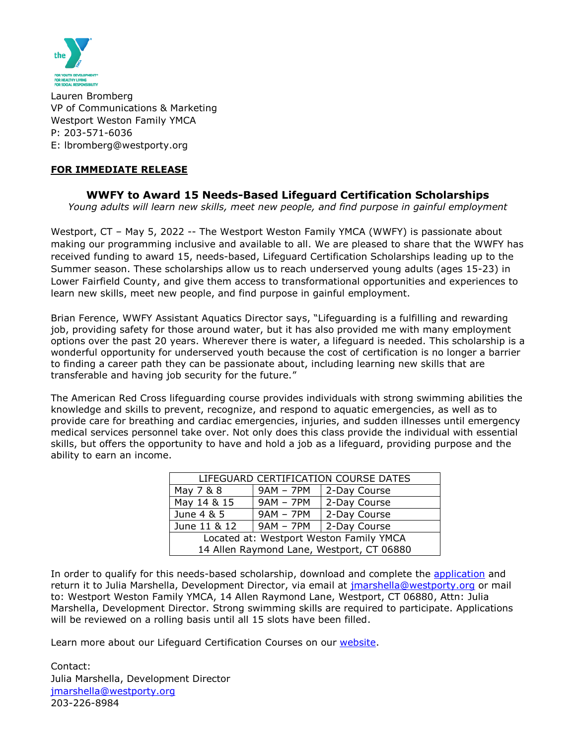

Lauren Bromberg VP of Communications & Marketing Westport Weston Family YMCA P: 203-571-6036 E: lbromberg@westporty.org

## **FOR IMMEDIATE RELEASE**

## **WWFY to Award 15 Needs-Based Lifeguard Certification Scholarships**

*Young adults will learn new skills, meet new people, and find purpose in gainful employment*

Westport, CT - May 5, 2022 -- The Westport Weston Family YMCA (WWFY) is passionate about making our programming inclusive and available to all. We are pleased to share that the WWFY has received funding to award 15, needs-based, Lifeguard Certification Scholarships leading up to the Summer season. These scholarships allow us to reach underserved young adults (ages 15-23) in Lower Fairfield County, and give them access to transformational opportunities and experiences to learn new skills, meet new people, and find purpose in gainful employment.

Brian Ference, WWFY Assistant Aquatics Director says, "Lifeguarding is a fulfilling and rewarding job, providing safety for those around water, but it has also provided me with many employment options over the past 20 years. Wherever there is water, a lifeguard is needed. This scholarship is a wonderful opportunity for underserved youth because the cost of certification is no longer a barrier to finding a career path they can be passionate about, including learning new skills that are transferable and having job security for the future."

The American Red Cross lifeguarding course provides individuals with strong swimming abilities the knowledge and skills to prevent, recognize, and respond to aquatic emergencies, as well as to provide care for breathing and cardiac emergencies, injuries, and sudden illnesses until emergency medical services personnel take over. Not only does this class provide the individual with essential skills, but offers the opportunity to have and hold a job as a lifeguard, providing purpose and the ability to earn an income.

| LIFEGUARD CERTIFICATION COURSE DATES      |             |                          |
|-------------------------------------------|-------------|--------------------------|
| May 7 & 8                                 | $9AM - 7PM$ | 2-Day Course             |
| May 14 & 15                               | $9AM - 7PM$ | 2-Day Course             |
| June 4 & 5                                | $9AM - 7PM$ | 2-Day Course             |
| June 11 & 12                              |             | $9AM - 7PM$ 2-Day Course |
| Located at: Westport Weston Family YMCA   |             |                          |
| 14 Allen Raymond Lane, Westport, CT 06880 |             |                          |

In order to qualify for this needs-based scholarship, download and complete the [application](https://westporty.org/wp-content/uploads/2022/05/2022-Lifeguard-Application.pdf) and return it to Julia Marshella, Development Director, via email at *jmarshella@westporty.org* or mail to: Westport Weston Family YMCA, 14 Allen Raymond Lane, Westport, CT 06880, Attn: Julia Marshella, Development Director. Strong swimming skills are required to participate. Applications will be reviewed on a rolling basis until all 15 slots have been filled.

Learn more about our Lifeguard Certification Courses on our [website.](https://westporty.org/aquatics/lifeguard-certification/)

Contact: Julia Marshella, Development Director [jmarshella@westporty.org](mailto:jmarshella@westporty.org) 203-226-8984